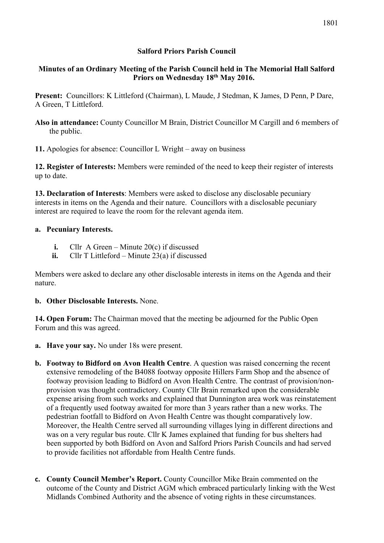### **Salford Priors Parish Council**

## **Minutes of an Ordinary Meeting of the Parish Council held in The Memorial Hall Salford Priors on Wednesday 18th May 2016.**

**Present:** Councillors: K Littleford (Chairman), L Maude, J Stedman, K James, D Penn, P Dare, A Green, T Littleford.

**Also in attendance:** County Councillor M Brain, District Councillor M Cargill and 6 members of the public.

**11.** Apologies for absence: Councillor L Wright – away on business

**12. Register of Interests:** Members were reminded of the need to keep their register of interests up to date.

**13. Declaration of Interests**: Members were asked to disclose any disclosable pecuniary interests in items on the Agenda and their nature. Councillors with a disclosable pecuniary interest are required to leave the room for the relevant agenda item.

## **a. Pecuniary Interests.**

- **i.** Cllr A Green Minute 20(c) if discussed
- **ii.** Cllr T Littleford Minute 23(a) if discussed

Members were asked to declare any other disclosable interests in items on the Agenda and their nature.

### **b. Other Disclosable Interests.** None.

**14. Open Forum:** The Chairman moved that the meeting be adjourned for the Public Open Forum and this was agreed.

- **a. Have your say.** No under 18s were present.
- **b. Footway to Bidford on Avon Health Centre**. A question was raised concerning the recent extensive remodeling of the B4088 footway opposite Hillers Farm Shop and the absence of footway provision leading to Bidford on Avon Health Centre. The contrast of provision/nonprovision was thought contradictory. County Cllr Brain remarked upon the considerable expense arising from such works and explained that Dunnington area work was reinstatement of a frequently used footway awaited for more than 3 years rather than a new works. The pedestrian footfall to Bidford on Avon Health Centre was thought comparatively low. Moreover, the Health Centre served all surrounding villages lying in different directions and was on a very regular bus route. Cllr K James explained that funding for bus shelters had been supported by both Bidford on Avon and Salford Priors Parish Councils and had served to provide facilities not affordable from Health Centre funds.
- **c. County Council Member's Report.** County Councillor Mike Brain commented on the outcome of the County and District AGM which embraced particularly linking with the West Midlands Combined Authority and the absence of voting rights in these circumstances.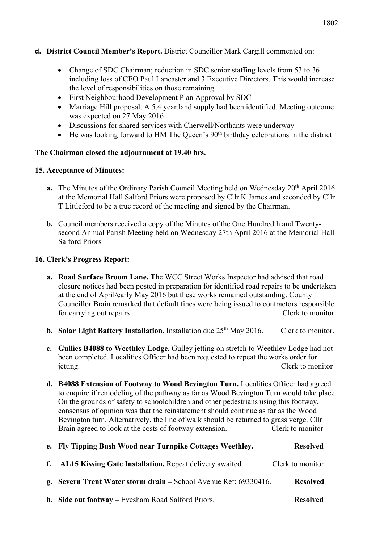- **d. District Council Member's Report.** District Councillor Mark Cargill commented on:
	- Change of SDC Chairman; reduction in SDC senior staffing levels from 53 to 36 including loss of CEO Paul Lancaster and 3 Executive Directors. This would increase the level of responsibilities on those remaining.
	- First Neighbourhood Development Plan Approval by SDC
	- Marriage Hill proposal. A 5.4 year land supply had been identified. Meeting outcome was expected on 27 May 2016
	- Discussions for shared services with Cherwell/Northants were underway
	- $\bullet$  He was looking forward to HM The Queen's 90<sup>th</sup> birthday celebrations in the district

#### **The Chairman closed the adjournment at 19.40 hrs.**

#### **15. Acceptance of Minutes:**

- **a.** The Minutes of the Ordinary Parish Council Meeting held on Wednesday 20<sup>th</sup> April 2016 at the Memorial Hall Salford Priors were proposed by Cllr K James and seconded by Cllr T Littleford to be a true record of the meeting and signed by the Chairman.
- **b.** Council members received a copy of the Minutes of the One Hundredth and Twentysecond Annual Parish Meeting held on Wednesday 27th April 2016 at the Memorial Hall Salford Priors

#### **16. Clerk's Progress Report:**

- **a. Road Surface Broom Lane. T**he WCC Street Works Inspector had advised that road closure notices had been posted in preparation for identified road repairs to be undertaken at the end of April/early May 2016 but these works remained outstanding. County Councillor Brain remarked that default fines were being issued to contractors responsible for carrying out repairs Clerk to monitor
- **b.** Solar Light Battery Installation. Installation due 25<sup>th</sup> May 2016. Clerk to monitor.
- **c. Gullies B4088 to Weethley Lodge.** Gulley jetting on stretch to Weethley Lodge had not been completed. Localities Officer had been requested to repeat the works order for jetting. Clerk to monitor
- **d. B4088 Extension of Footway to Wood Bevington Turn.** Localities Officer had agreed to enquire if remodeling of the pathway as far as Wood Bevington Turn would take place. On the grounds of safety to schoolchildren and other pedestrians using this footway, consensus of opinion was that the reinstatement should continue as far as the Wood Bevington turn. Alternatively, the line of walk should be returned to grass verge. Cllr Brain agreed to look at the costs of footway extension. Clerk to monitor

| e. Fly Tipping Bush Wood near Turnpike Cottages Weethley.        | <b>Resolved</b>  |
|------------------------------------------------------------------|------------------|
| f. AL15 Kissing Gate Installation. Repeat delivery awaited.      | Clerk to monitor |
| g. Severn Trent Water storm drain – School Avenue Ref: 69330416. | <b>Resolved</b>  |
| h. Side out footway – Evesham Road Salford Priors.               | <b>Resolved</b>  |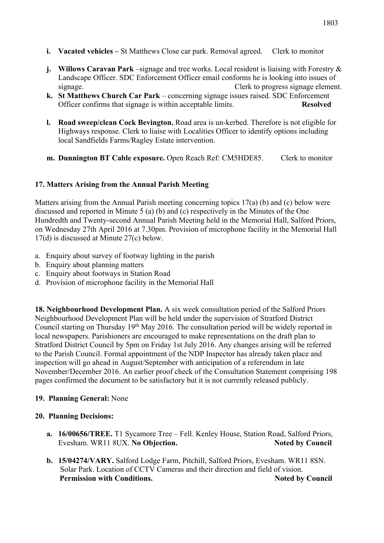- **i. Vacated vehicles –** St Matthews Close car park. Removal agreed.Clerk to monitor
- **j.** Willows Caravan Park –signage and tree works. Local resident is liaising with Forestry & Landscape Officer. SDC Enforcement Officer email conforms he is looking into issues of signage. Clerk to progress signage element.
- **k. St Matthews Church Car Park** concerning signage issues raised. SDC Enforcement Officer confirms that signage is within acceptable limits. **Resolved**
- **l. Road sweep/clean Cock Bevington.** Road area is un-kerbed. Therefore is not eligible for Highways response. Clerk to liaise with Localities Officer to identify options including local Sandfields Farms/Ragley Estate intervention.
- **m. Dunnington BT Cable exposure.** Open Reach Ref: CM5HDE85. Clerk to monitor

## **17. Matters Arising from the Annual Parish Meeting**

Matters arising from the Annual Parish meeting concerning topics 17(a) (b) and (c) below were discussed and reported in Minute 5 (a) (b) and (c) respectively in the Minutes of the One Hundredth and Twenty-second Annual Parish Meeting held in the Memorial Hall, Salford Priors, on Wednesday 27th April 2016 at 7.30pm. Provision of microphone facility in the Memorial Hall 17(d) is discussed at Minute 27(c) below.

- a. Enquiry about survey of footway lighting in the parish
- b. Enquiry about planning matters
- c. Enquiry about footways in Station Road
- d. Provision of microphone facility in the Memorial Hall

**18. Neighbourhood Development Plan.** A six week consultation period of the Salford Priors Neighbourhood Development Plan will be held under the supervision of Stratford District Council starting on Thursday 19<sup>th</sup> May 2016. The consultation period will be widely reported in local newspapers. Parishioners are encouraged to make representations on the draft plan to Stratford District Council by 5pm on Friday 1st July 2016. Any changes arising will be referred to the Parish Council. Formal appointment of the NDP Inspector has already taken place and inspection will go ahead in August/September with anticipation of a referendum in late November/December 2016. An earlier proof check of the Consultation Statement comprising 198 pages confirmed the document to be satisfactory but it is not currently released publicly.

#### **19. Planning General:** None

#### **20. Planning Decisions:**

- **a. 16/00656/TREE.** T1 Sycamore Tree Fell. Kenley House, Station Road, Salford Priors, Evesham. WR11 8UX. No Objection. Noted by Council
- **b. 15/04274/VARY.** Salford Lodge Farm, Pitchill, Salford Priors, Evesham. WR11 8SN. Solar Park. Location of CCTV Cameras and their direction and field of vision. **Permission with Conditions.** Noted by Council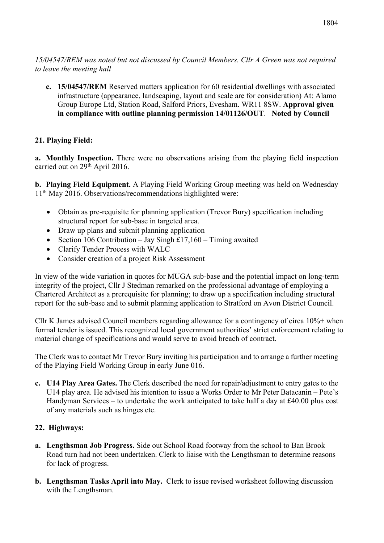*15/04547/REM was noted but not discussed by Council Members. Cllr A Green was not required to leave the meeting hall*

**c. 15/04547/REM** Reserved matters application for 60 residential dwellings with associated infrastructure (appearance, landscaping, layout and scale are for consideration) At: Alamo Group Europe Ltd, Station Road, Salford Priors, Evesham. WR11 8SW. **Approval given in compliance with outline planning permission 14/01126/OUT**.**Noted by Council**

# **21. Playing Field:**

**a. Monthly Inspection.** There were no observations arising from the playing field inspection carried out on 29<sup>th</sup> April 2016.

**b. Playing Field Equipment.** A Playing Field Working Group meeting was held on Wednesday 11th May 2016. Observations/recommendations highlighted were:

- Obtain as pre-requisite for planning application (Trevor Bury) specification including structural report for sub-base in targeted area.
- Draw up plans and submit planning application
- Section 106 Contribution Jay Singh £17,160 Timing awaited
- Clarify Tender Process with WALC
- Consider creation of a project Risk Assessment

In view of the wide variation in quotes for MUGA sub-base and the potential impact on long-term integrity of the project, Cllr J Stedman remarked on the professional advantage of employing a Chartered Architect as a prerequisite for planning; to draw up a specification including structural report for the sub-base and to submit planning application to Stratford on Avon District Council.

Cllr K James advised Council members regarding allowance for a contingency of circa 10%+ when formal tender is issued. This recognized local government authorities' strict enforcement relating to material change of specifications and would serve to avoid breach of contract.

The Clerk was to contact Mr Trevor Bury inviting his participation and to arrange a further meeting of the Playing Field Working Group in early June 016.

**c. U14 Play Area Gates.** The Clerk described the need for repair/adjustment to entry gates to the U14 play area. He advised his intention to issue a Works Order to Mr Peter Batacanin – Pete's Handyman Services – to undertake the work anticipated to take half a day at £40.00 plus cost of any materials such as hinges etc.

### **22. Highways:**

- **a. Lengthsman Job Progress.** Side out School Road footway from the school to Ban Brook Road turn had not been undertaken. Clerk to liaise with the Lengthsman to determine reasons for lack of progress.
- **b. Lengthsman Tasks April into May.** Clerk to issue revised worksheet following discussion with the Lengthsman.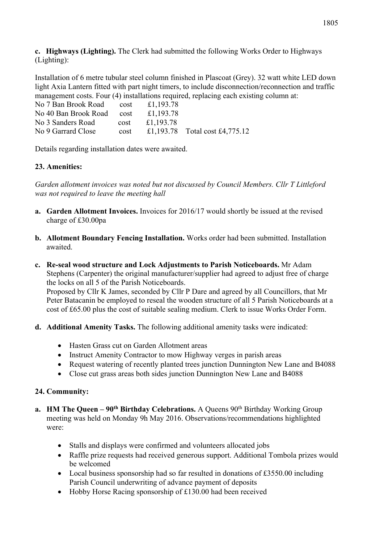**c. Highways (Lighting).** The Clerk had submitted the following Works Order to Highways (Lighting):

Installation of 6 metre tubular steel column finished in Plascoat (Grey). 32 watt white LED down light Axia Lantern fitted with part night timers, to include disconnection/reconnection and traffic management costs. Four (4) installations required, replacing each existing column at:

| No 7 Ban Brook Road cost  |      | £1,193.78 |                                |
|---------------------------|------|-----------|--------------------------------|
| No 40 Ban Brook Road cost |      | £1,193.78 |                                |
| No 3 Sanders Road         | cost | £1.193.78 |                                |
| No 9 Garrard Close        | cost |           | £1,193.78 Total cost £4,775.12 |
|                           |      |           |                                |

Details regarding installation dates were awaited.

## **23. Amenities:**

*Garden allotment invoices was noted but not discussed by Council Members. Cllr T Littleford was not required to leave the meeting hall*

- **a. Garden Allotment Invoices.** Invoices for 2016/17 would shortly be issued at the revised charge of £30.00pa
- **b. Allotment Boundary Fencing Installation.** Works order had been submitted. Installation awaited.
- **c. Re-seal wood structure and Lock Adjustments to Parish Noticeboards.** Mr Adam Stephens (Carpenter) the original manufacturer/supplier had agreed to adjust free of charge the locks on all 5 of the Parish Noticeboards. Proposed by Cllr K James, seconded by Cllr P Dare and agreed by all Councillors, that Mr

Peter Batacanin be employed to reseal the wooden structure of all 5 Parish Noticeboards at a cost of £65.00 plus the cost of suitable sealing medium. Clerk to issue Works Order Form.

- **d. Additional Amenity Tasks.** The following additional amenity tasks were indicated:
	- Hasten Grass cut on Garden Allotment areas
	- Instruct Amenity Contractor to mow Highway verges in parish areas
	- Request watering of recently planted trees junction Dunnington New Lane and B4088
	- Close cut grass areas both sides junction Dunnington New Lane and B4088

# **24. Community:**

- **a. HM The Queen 90<sup>th</sup> Birthday Celebrations.** A Queens 90<sup>th</sup> Birthday Working Group meeting was held on Monday 9h May 2016. Observations/recommendations highlighted were:
	- Stalls and displays were confirmed and volunteers allocated jobs
	- Raffle prize requests had received generous support. Additional Tombola prizes would be welcomed
	- Local business sponsorship had so far resulted in donations of £3550.00 including Parish Council underwriting of advance payment of deposits
	- Hobby Horse Racing sponsorship of £130.00 had been received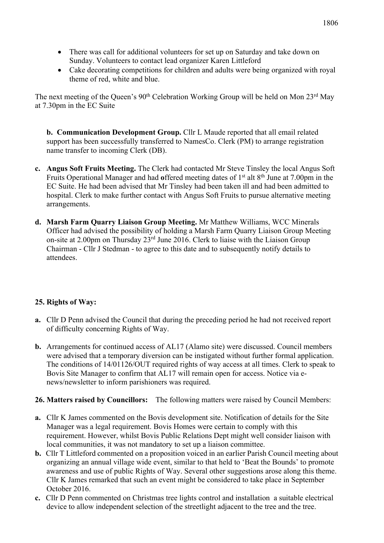- There was call for additional volunteers for set up on Saturday and take down on Sunday. Volunteers to contact lead organizer Karen Littleford
- Cake decorating competitions for children and adults were being organized with royal theme of red, white and blue.

The next meeting of the Queen's 90<sup>th</sup> Celebration Working Group will be held on Mon 23<sup>rd</sup> May at 7.30pm in the EC Suite

**b. Communication Development Group.** Cllr L Maude reported that all email related support has been successfully transferred to NamesCo. Clerk (PM) to arrange registration name transfer to incoming Clerk (DB).

- **c. Angus Soft Fruits Meeting.** The Clerk had contacted Mr Steve Tinsley the local Angus Soft Fruits Operational Manager and had **o**ffered meeting dates of 1st alt 8th June at 7.00pm in the EC Suite. He had been advised that Mr Tinsley had been taken ill and had been admitted to hospital. Clerk to make further contact with Angus Soft Fruits to pursue alternative meeting arrangements.
- **d. Marsh Farm Quarry Liaison Group Meeting.** Mr Matthew Williams, WCC Minerals Officer had advised the possibility of holding a Marsh Farm Quarry Liaison Group Meeting on-site at 2.00pm on Thursday 23rd June 2016. Clerk to liaise with the Liaison Group Chairman - Cllr J Stedman - to agree to this date and to subsequently notify details to attendees.

# **25. Rights of Way:**

- **a.** Cllr D Penn advised the Council that during the preceding period he had not received report of difficulty concerning Rights of Way.
- **b.** Arrangements for continued access of AL17 (Alamo site) were discussed. Council members were advised that a temporary diversion can be instigated without further formal application. The conditions of 14/01126/OUT required rights of way access at all times. Clerk to speak to Bovis Site Manager to confirm that AL17 will remain open for access. Notice via enews/newsletter to inform parishioners was required.

### **26. Matters raised by Councillors:** The following matters were raised by Council Members:

- **a.** Cllr K James commented on the Bovis development site. Notification of details for the Site Manager was a legal requirement. Bovis Homes were certain to comply with this requirement. However, whilst Bovis Public Relations Dept might well consider liaison with local communities, it was not mandatory to set up a liaison committee.
- **b.** Cllr T Littleford commented on a proposition voiced in an earlier Parish Council meeting about organizing an annual village wide event, similar to that held to 'Beat the Bounds' to promote awareness and use of public Rights of Way. Several other suggestions arose along this theme. Cllr K James remarked that such an event might be considered to take place in September October 2016.
- **c.** Cllr D Penn commented on Christmas tree lights control and installation a suitable electrical device to allow independent selection of the streetlight adjacent to the tree and the tree.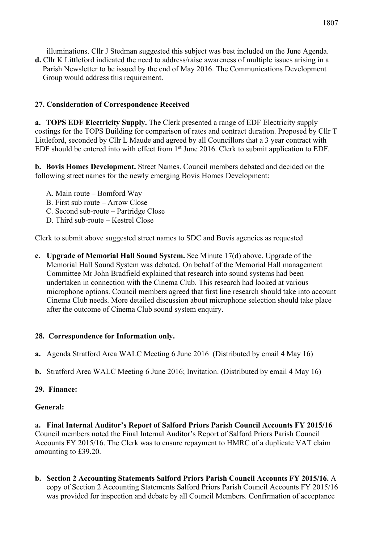illuminations. Cllr J Stedman suggested this subject was best included on the June Agenda.

**d.** Cllr K Littleford indicated the need to address/raise awareness of multiple issues arising in a Parish Newsletter to be issued by the end of May 2016. The Communications Development Group would address this requirement.

# **27. Consideration of Correspondence Received**

**a. TOPS EDF Electricity Supply.** The Clerk presented a range of EDF Electricity supply costings for the TOPS Building for comparison of rates and contract duration. Proposed by Cllr T Littleford, seconded by Cllr L Maude and agreed by all Councillors that a 3 year contract with EDF should be entered into with effect from 1st June 2016. Clerk to submit application to EDF.

**b. Bovis Homes Development.** Street Names. Council members debated and decided on the following street names for the newly emerging Bovis Homes Development:

- A. Main route Bomford Way
- B. First sub route Arrow Close
- C. Second sub-route Partridge Close
- D. Third sub-route Kestrel Close

Clerk to submit above suggested street names to SDC and Bovis agencies as requested

**c. Upgrade of Memorial Hall Sound System.** See Minute 17(d) above. Upgrade of the Memorial Hall Sound System was debated. On behalf of the Memorial Hall management Committee Mr John Bradfield explained that research into sound systems had been undertaken in connection with the Cinema Club. This research had looked at various microphone options. Council members agreed that first line research should take into account Cinema Club needs. More detailed discussion about microphone selection should take place after the outcome of Cinema Club sound system enquiry.

# **28. Correspondence for Information only.**

- **a.** Agenda Stratford Area WALC Meeting 6 June 2016 (Distributed by email 4 May 16)
- **b.** Stratford Area WALC Meeting 6 June 2016; Invitation. (Distributed by email 4 May 16)

### **29. Finance:**

### **General:**

**a. Final Internal Auditor's Report of Salford Priors Parish Council Accounts FY 2015/16** Council members noted the Final Internal Auditor's Report of Salford Priors Parish Council Accounts FY 2015/16. The Clerk was to ensure repayment to HMRC of a duplicate VAT claim amounting to £39.20.

**b. Section 2 Accounting Statements Salford Priors Parish Council Accounts FY 2015/16.** A copy of Section 2 Accounting Statements Salford Priors Parish Council Accounts FY 2015/16 was provided for inspection and debate by all Council Members. Confirmation of acceptance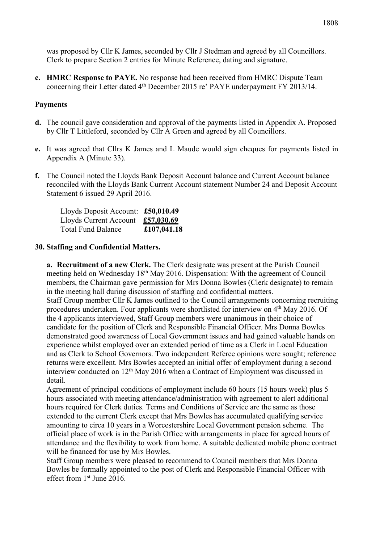was proposed by Cllr K James, seconded by Cllr J Stedman and agreed by all Councillors. Clerk to prepare Section 2 entries for Minute Reference, dating and signature.

**c. HMRC Response to PAYE.** No response had been received from HMRC Dispute Team concerning their Letter dated 4<sup>th</sup> December 2015 re' PAYE underpayment FY 2013/14.

#### **Payments**

- **d.** The council gave consideration and approval of the payments listed in Appendix A. Proposed by Cllr T Littleford, seconded by Cllr A Green and agreed by all Councillors.
- **e.** It was agreed that Cllrs K James and L Maude would sign cheques for payments listed in Appendix A (Minute 33).
- **f.** The Council noted the Lloyds Bank Deposit Account balance and Current Account balance reconciled with the Lloyds Bank Current Account statement Number 24 and Deposit Account Statement 6 issued 29 April 2016.

Lloyds Deposit Account: **£50,010.49** Lloyds Current Account **£57,030.69** Total Fund Balance **£107,041.18**

#### **30. Staffing and Confidential Matters.**

**a. Recruitment of a new Clerk.** The Clerk designate was present at the Parish Council meeting held on Wednesday 18<sup>th</sup> May 2016. Dispensation: With the agreement of Council members, the Chairman gave permission for Mrs Donna Bowles (Clerk designate) to remain in the meeting hall during discussion of staffing and confidential matters. Staff Group member Cllr K James outlined to the Council arrangements concerning recruiting procedures undertaken. Four applicants were shortlisted for interview on 4th May 2016. Of the 4 applicants interviewed, Staff Group members were unanimous in their choice of candidate for the position of Clerk and Responsible Financial Officer. Mrs Donna Bowles demonstrated good awareness of Local Government issues and had gained valuable hands on experience whilst employed over an extended period of time as a Clerk in Local Education and as Clerk to School Governors. Two independent Referee opinions were sought; reference returns were excellent. Mrs Bowles accepted an initial offer of employment during a second interview conducted on  $12<sup>th</sup>$  May 2016 when a Contract of Employment was discussed in detail.

Agreement of principal conditions of employment include 60 hours (15 hours week) plus 5 hours associated with meeting attendance/administration with agreement to alert additional hours required for Clerk duties. Terms and Conditions of Service are the same as those extended to the current Clerk except that Mrs Bowles has accumulated qualifying service amounting to circa 10 years in a Worcestershire Local Government pension scheme. The official place of work is in the Parish Office with arrangements in place for agreed hours of attendance and the flexibility to work from home. A suitable dedicated mobile phone contract will be financed for use by Mrs Bowles.

Staff Group members were pleased to recommend to Council members that Mrs Donna Bowles be formally appointed to the post of Clerk and Responsible Financial Officer with effect from 1st June 2016.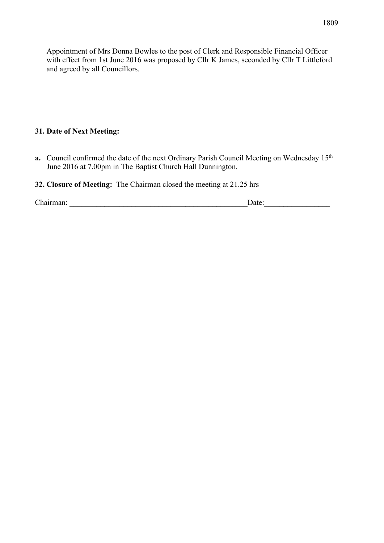Appointment of Mrs Donna Bowles to the post of Clerk and Responsible Financial Officer with effect from 1st June 2016 was proposed by Cllr K James, seconded by Cllr T Littleford and agreed by all Councillors.

### **31. Date of Next Meeting:**

**a.** Council confirmed the date of the next Ordinary Parish Council Meeting on Wednesday 15<sup>th</sup> June 2016 at 7.00pm in The Baptist Church Hall Dunnington.

### **32. Closure of Meeting:** The Chairman closed the meeting at 21.25 hrs

Chairman: \_\_\_\_\_\_\_\_\_\_\_\_\_\_\_\_\_\_\_\_\_\_\_\_\_\_\_\_\_\_\_\_\_\_\_\_\_\_\_\_\_\_\_\_\_\_Date:\_\_\_\_\_\_\_\_\_\_\_\_\_\_\_\_\_